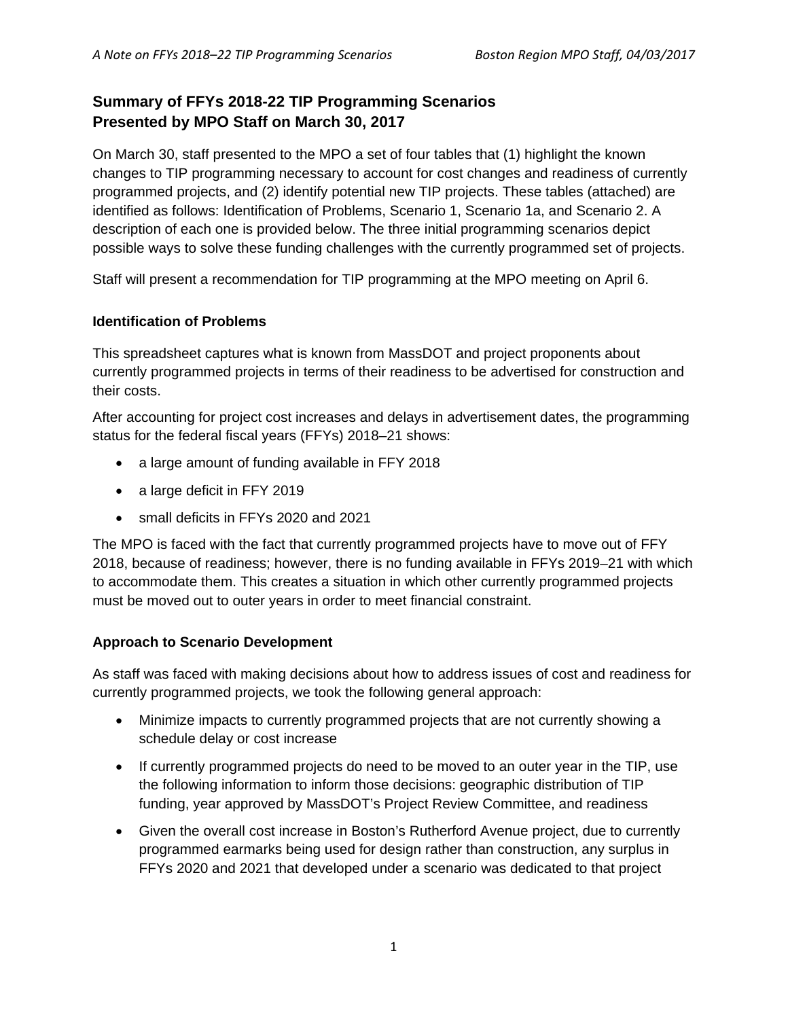## **Summary of FFYs 2018-22 TIP Programming Scenarios Presented by MPO Staff on March 30, 2017**

On March 30, staff presented to the MPO a set of four tables that (1) highlight the known changes to TIP programming necessary to account for cost changes and readiness of currently programmed projects, and (2) identify potential new TIP projects. These tables (attached) are identified as follows: Identification of Problems, Scenario 1, Scenario 1a, and Scenario 2. A description of each one is provided below. The three initial programming scenarios depict possible ways to solve these funding challenges with the currently programmed set of projects.

Staff will present a recommendation for TIP programming at the MPO meeting on April 6.

### **Identification of Problems**

This spreadsheet captures what is known from MassDOT and project proponents about currently programmed projects in terms of their readiness to be advertised for construction and their costs.

After accounting for project cost increases and delays in advertisement dates, the programming status for the federal fiscal years (FFYs) 2018–21 shows:

- a large amount of funding available in FFY 2018
- a large deficit in FFY 2019
- small deficits in FFYs 2020 and 2021

The MPO is faced with the fact that currently programmed projects have to move out of FFY 2018, because of readiness; however, there is no funding available in FFYs 2019–21 with which to accommodate them. This creates a situation in which other currently programmed projects must be moved out to outer years in order to meet financial constraint.

### **Approach to Scenario Development**

As staff was faced with making decisions about how to address issues of cost and readiness for currently programmed projects, we took the following general approach:

- Minimize impacts to currently programmed projects that are not currently showing a schedule delay or cost increase
- If currently programmed projects do need to be moved to an outer year in the TIP, use the following information to inform those decisions: geographic distribution of TIP funding, year approved by MassDOT's Project Review Committee, and readiness
- Given the overall cost increase in Boston's Rutherford Avenue project, due to currently programmed earmarks being used for design rather than construction, any surplus in FFYs 2020 and 2021 that developed under a scenario was dedicated to that project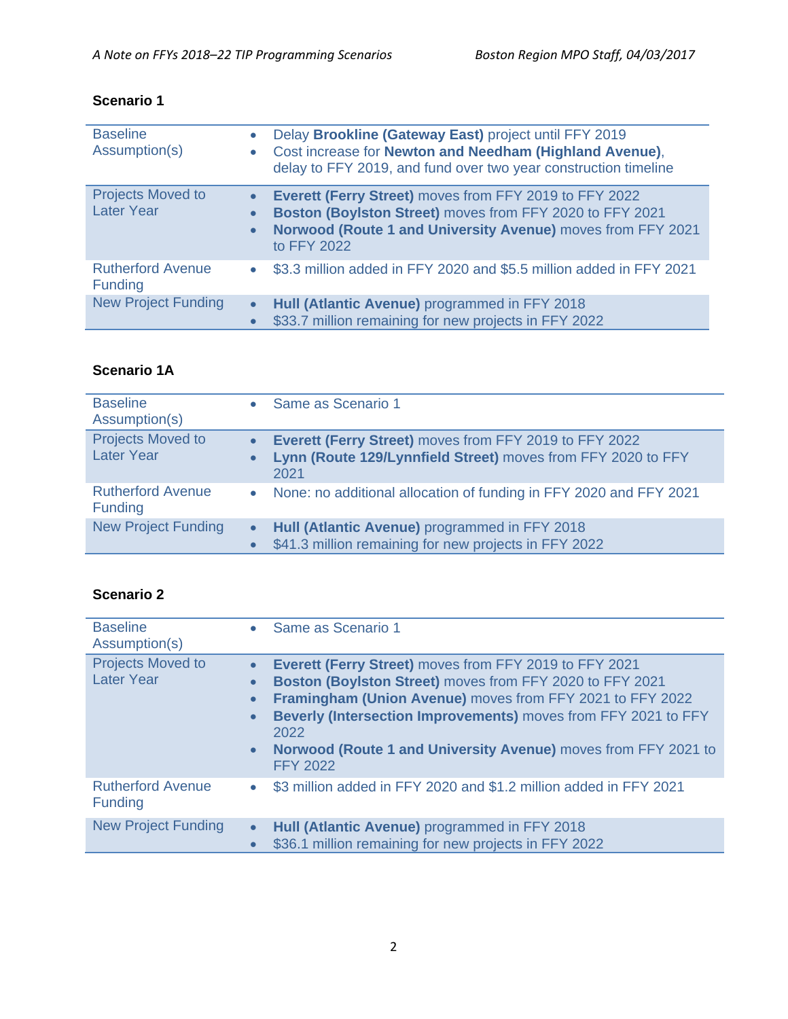### **Scenario 1**

| <b>Baseline</b><br>Assumption(s)              |           | Delay Brookline (Gateway East) project until FFY 2019<br>Cost increase for Newton and Needham (Highland Avenue),<br>delay to FFY 2019, and fund over two year construction timeline              |
|-----------------------------------------------|-----------|--------------------------------------------------------------------------------------------------------------------------------------------------------------------------------------------------|
| <b>Projects Moved to</b><br><b>Later Year</b> | $\bullet$ | Everett (Ferry Street) moves from FFY 2019 to FFY 2022<br>Boston (Boylston Street) moves from FFY 2020 to FFY 2021<br>Norwood (Route 1 and University Avenue) moves from FFY 2021<br>to FFY 2022 |
| <b>Rutherford Avenue</b><br><b>Funding</b>    |           | \$3.3 million added in FFY 2020 and \$5.5 million added in FFY 2021                                                                                                                              |
| <b>New Project Funding</b>                    | $\bullet$ | Hull (Atlantic Avenue) programmed in FFY 2018<br>\$33.7 million remaining for new projects in FFY 2022                                                                                           |

### **Scenario 1A**

| <b>Baseline</b><br>Assumption(s)              |                        | Same as Scenario 1                                                                                                             |
|-----------------------------------------------|------------------------|--------------------------------------------------------------------------------------------------------------------------------|
| <b>Projects Moved to</b><br><b>Later Year</b> | $\bullet$<br>$\bullet$ | Everett (Ferry Street) moves from FFY 2019 to FFY 2022<br>Lynn (Route 129/Lynnfield Street) moves from FFY 2020 to FFY<br>2021 |
| <b>Rutherford Avenue</b><br><b>Funding</b>    | $\bullet$              | None: no additional allocation of funding in FFY 2020 and FFY 2021                                                             |
| <b>New Project Funding</b>                    | $\bullet$<br>$\bullet$ | Hull (Atlantic Avenue) programmed in FFY 2018<br>\$41.3 million remaining for new projects in FFY 2022                         |

## **Scenario 2**

| <b>Baseline</b><br>Assumption(s)              | $\bullet$                                                     | Same as Scenario 1                                                                                                                                                                                                                                                                                                                             |
|-----------------------------------------------|---------------------------------------------------------------|------------------------------------------------------------------------------------------------------------------------------------------------------------------------------------------------------------------------------------------------------------------------------------------------------------------------------------------------|
| <b>Projects Moved to</b><br><b>Later Year</b> | $\bullet$<br>$\bullet$<br>$\bullet$<br>$\bullet$<br>$\bullet$ | Everett (Ferry Street) moves from FFY 2019 to FFY 2021<br>Boston (Boylston Street) moves from FFY 2020 to FFY 2021<br>Framingham (Union Avenue) moves from FFY 2021 to FFY 2022<br>Beverly (Intersection Improvements) moves from FFY 2021 to FFY<br>2022<br>Norwood (Route 1 and University Avenue) moves from FFY 2021 to<br><b>FFY 2022</b> |
| <b>Rutherford Avenue</b><br>Funding           | $\bullet$                                                     | \$3 million added in FFY 2020 and \$1.2 million added in FFY 2021                                                                                                                                                                                                                                                                              |
| <b>New Project Funding</b>                    | $\bullet$<br>$\bullet$                                        | Hull (Atlantic Avenue) programmed in FFY 2018<br>\$36.1 million remaining for new projects in FFY 2022                                                                                                                                                                                                                                         |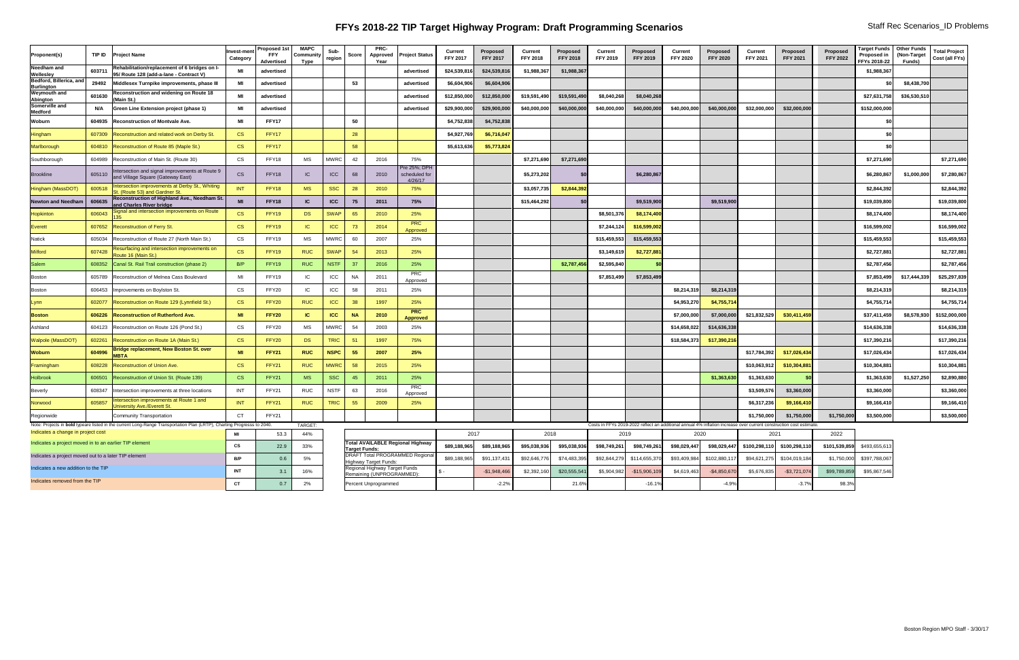# **FFYs 2018-22 TIP Target Highway Program: Draft Programming Scenarios** Staff Rec Scenarios\_ID Problems

| <b>Proponent(s)</b>                                  | TIP ID                                                 | <b>Project Name</b>                                                                                                     | <b>Invest-ment</b><br><b>Category</b> | <b>Proposed 1st</b><br><b>FFY</b><br><b>Advertised</b> | <b>MAPC</b><br>Communit\<br>Type | Sub-<br>region | <b>Score</b>  | <b>PRC-</b><br>Approved<br>Year                        | <b>Project Status</b>                    | <b>Current</b><br><b>FFY 2017</b> | <b>Proposed</b><br><b>FFY 2017</b> | <b>Current</b><br><b>FFY 2018</b> | <b>Proposed</b><br><b>FFY 2018</b> | <b>Current</b><br><b>FFY 2019</b> | <b>Proposed</b><br><b>FFY 2019</b> | <b>Current</b><br><b>FFY 2020</b>                                                                                           | Proposed<br><b>FFY 2020</b> | <b>Current</b><br><b>FFY 2021</b>                | Proposed<br><b>FFY 2021</b>                            | <b>Proposed</b><br><b>FFY 2022</b> | Target Funds   Other Funds<br><b>Proposed in</b><br>FFYs 2018-22 | (Non-Target<br>Funds) | <b>Total Project</b><br>Cost (all FYs) |
|------------------------------------------------------|--------------------------------------------------------|-------------------------------------------------------------------------------------------------------------------------|---------------------------------------|--------------------------------------------------------|----------------------------------|----------------|---------------|--------------------------------------------------------|------------------------------------------|-----------------------------------|------------------------------------|-----------------------------------|------------------------------------|-----------------------------------|------------------------------------|-----------------------------------------------------------------------------------------------------------------------------|-----------------------------|--------------------------------------------------|--------------------------------------------------------|------------------------------------|------------------------------------------------------------------|-----------------------|----------------------------------------|
| <b>Needham and</b><br><b>Wellesley</b>               | 603711                                                 | Rehabilitation/replacement of 6 bridges on I-<br>95/ Route 128 (add-a-lane - Contract V)                                | MI                                    | advertised                                             |                                  |                |               |                                                        | advertised                               | \$24,539,816                      | \$24,539,816                       | \$1,988,367                       | \$1,988,367                        |                                   |                                    |                                                                                                                             |                             |                                                  |                                                        |                                    | \$1,988,367                                                      |                       |                                        |
| Bedford, Billerica, and<br><b>Burlington</b>         | 29492                                                  | Middlesex Turnpike improvements, phase III                                                                              | MI                                    | advertised                                             |                                  |                | 53            |                                                        | advertised                               | \$6,604,906                       | \$6,604,906                        |                                   |                                    |                                   |                                    |                                                                                                                             |                             |                                                  |                                                        |                                    |                                                                  | \$8,438,700           |                                        |
| <b>Weymouth and</b><br>Abington                      | 601630                                                 | <b>Reconstruction and widening on Route 18</b><br>(Main St.)                                                            | MI                                    | advertised                                             |                                  |                |               |                                                        | advertised                               | \$12,850,000                      | \$12,850,000                       | \$19,591,490                      | \$19,591,490                       | \$8,040,268                       | \$8,040,268                        |                                                                                                                             |                             |                                                  |                                                        |                                    | \$27,631,758                                                     | \$36,530,510          |                                        |
| Somerville and<br><b>Medford</b>                     | N/A                                                    | <b>Green Line Extension project (phase 1)</b>                                                                           | МI                                    | advertised                                             |                                  |                |               |                                                        | advertised                               | \$29,900,000                      | \$29,900,000                       | \$40,000,000                      | \$40,000,000                       | \$40,000,000                      | \$40,000,000                       | \$40,000,000                                                                                                                | \$40,000,000                | \$32,000,000                                     | \$32,000,000                                           |                                    | \$152,000,000                                                    |                       |                                        |
| Woburn                                               |                                                        | 604935  Reconstruction of Montvale Ave.                                                                                 | MI                                    | <b>FFY17</b>                                           |                                  |                | 50            |                                                        |                                          | \$4,752,838                       | \$4,752,838                        |                                   |                                    |                                   |                                    |                                                                                                                             |                             |                                                  |                                                        |                                    |                                                                  |                       |                                        |
| Hingham                                              |                                                        | 607309 Reconstruction and related work on Derby St.                                                                     | <b>CS</b>                             | FFY17                                                  |                                  |                | 28            |                                                        |                                          | \$4,927,769                       | \$6,716,047                        |                                   |                                    |                                   |                                    |                                                                                                                             |                             |                                                  |                                                        |                                    |                                                                  |                       |                                        |
| Marlborough                                          |                                                        | 604810 Reconstruction of Route 85 (Maple St.)                                                                           | <b>CS</b>                             | FFY17                                                  |                                  |                | 58            |                                                        |                                          | \$5,613,636                       | \$5,773,824                        |                                   |                                    |                                   |                                    |                                                                                                                             |                             |                                                  |                                                        |                                    |                                                                  |                       |                                        |
| Southborough                                         |                                                        | 604989 Reconstruction of Main St. (Route 30)                                                                            | <b>CS</b>                             | FFY18                                                  | MS                               | <b>MWRC</b>    | 42            | 2016                                                   | 75%                                      |                                   |                                    | \$7,271,690                       | \$7,271,690                        |                                   |                                    |                                                                                                                             |                             |                                                  |                                                        |                                    | \$7,271,690                                                      |                       | \$7,271,690                            |
| <b>Brookline</b>                                     | 605110                                                 | ntersection and signal improvements at Route 9<br>and Village Square (Gateway East)                                     | <b>CS</b>                             | FFY18                                                  | IC                               | <b>ICC</b>     | 68            | 2010                                                   | Pre 25%; DPH<br>scheduled for<br>4/26/17 |                                   |                                    | \$5,273,202                       |                                    |                                   | \$6,280,867                        |                                                                                                                             |                             |                                                  |                                                        |                                    | \$6,280,867                                                      | \$1,000,000           | \$7,280,867                            |
| Hingham (MassDOT)                                    | 600518                                                 | ntersection improvements at Derby St., Whiting<br>St. (Route 53) and Gardner St.                                        | <b>INT</b>                            | FFY18                                                  | <b>MS</b>                        | <b>SSC</b>     | 28            | 2010                                                   | 75%                                      |                                   |                                    | \$3,057,735                       | \$2,844,392                        |                                   |                                    |                                                                                                                             |                             |                                                  |                                                        |                                    | \$2,844,392                                                      |                       | \$2,844,392                            |
| <b>Newton and Needham</b>                            | 606635                                                 | Reconstruction of Highland Ave., Needham St.  <br>and Charles River bridge                                              | MI                                    | FFY18                                                  | IC                               | <b>ICC</b>     | 75            | 2011                                                   | 75%                                      |                                   |                                    | \$15,464,292                      |                                    |                                   | \$9,519,900                        |                                                                                                                             | \$9,519,900                 |                                                  |                                                        |                                    | \$19,039,800                                                     |                       | \$19,039,800                           |
| <b>Hopkinton</b>                                     | 606043                                                 | ignal and intersection improvements on Route                                                                            | <b>CS</b>                             | FFY19                                                  | <b>DS</b>                        | <b>SWAP</b>    | 65            | 2010                                                   | 25%                                      |                                   |                                    |                                   |                                    | \$8,501,376                       | \$8,174,400                        |                                                                                                                             |                             |                                                  |                                                        |                                    | \$8,174,400                                                      |                       | \$8,174,400                            |
| Everett                                              |                                                        | 607652 Reconstruction of Ferry St.                                                                                      | <b>CS</b>                             | FFY19                                                  | IC                               | <b>ICC</b>     |               | 2014                                                   | <b>PRC</b><br>Approved                   |                                   |                                    |                                   |                                    | \$7,244,124                       | \$16,599,002                       |                                                                                                                             |                             |                                                  |                                                        |                                    | \$16,599,002                                                     |                       | \$16,599,002                           |
| <b>Natick</b>                                        | 605034                                                 | Reconstruction of Route 27 (North Main St.)                                                                             | <b>CS</b>                             | FFY19                                                  | <b>MS</b>                        | <b>MWRC</b>    | 60            | 2007                                                   | 25%                                      |                                   |                                    |                                   |                                    | \$15,459,553                      | \$15,459,553                       |                                                                                                                             |                             |                                                  |                                                        |                                    | \$15,459,553                                                     |                       | \$15,459,553                           |
| <b>Milford</b>                                       | 607428                                                 | Resurfacing and intersection improvements on<br>Route 16 (Main St.)                                                     | <b>CS</b>                             | FFY19                                                  | <b>RUC</b>                       | <b>SWAP</b>    | 54            | 2013                                                   | 25%                                      |                                   |                                    |                                   |                                    | \$3,149,619                       | \$2,727,881                        |                                                                                                                             |                             |                                                  |                                                        |                                    | \$2,727,881                                                      |                       | \$2,727,881                            |
| Salem                                                |                                                        | 608352 Canal St. Rail Trail construction (phase 2)                                                                      | B/P                                   | FFY19                                                  | <b>RUC</b>                       | <b>NSTF</b>    |               | 2016                                                   | 25%                                      |                                   |                                    |                                   | \$2,787,456                        | \$2,595,840                       |                                    |                                                                                                                             |                             |                                                  |                                                        |                                    | \$2,787,456                                                      |                       | \$2,787,456                            |
| Boston                                               |                                                        | 605789 Reconstruction of Melnea Cass Boulevard                                                                          | MI                                    | FFY19                                                  | IC                               | ICC            | NA            | 2011                                                   | <b>PRC</b><br>Approved                   |                                   |                                    |                                   |                                    | \$7,853,499                       | \$7,853,499                        |                                                                                                                             |                             |                                                  |                                                        |                                    | \$7,853,499                                                      | \$17,444,339          | \$25,297,839                           |
| <b>Boston</b>                                        |                                                        | 606453   Improvements on Boylston St.                                                                                   | <b>CS</b>                             | FFY20                                                  | -IC                              | ICC            | 58            | 2011                                                   | 25%                                      |                                   |                                    |                                   |                                    |                                   |                                    | \$8,214,319                                                                                                                 | \$8,214,319                 |                                                  |                                                        |                                    | \$8,214,319                                                      |                       | \$8,214,319                            |
| _ynn                                                 |                                                        | 602077 Reconstruction on Route 129 (Lynnfield St.)                                                                      | CS                                    | FFY20                                                  | <b>RUC</b>                       | <b>ICC</b>     | 38            | 1997                                                   | 25%                                      |                                   |                                    |                                   |                                    |                                   |                                    | \$4,953,270                                                                                                                 | \$4,755,714                 |                                                  |                                                        |                                    | \$4,755,714                                                      |                       | \$4,755,714                            |
| <b>Boston</b>                                        |                                                        | 606226 Reconstruction of Rutherford Ave.                                                                                | <b>MI</b>                             | <b>FFY20</b>                                           | IC                               | <b>ICC</b>     | <b>NA</b>     | 2010                                                   | <b>PRC</b><br><b>Approved</b>            |                                   |                                    |                                   |                                    |                                   |                                    | \$7,000,000                                                                                                                 | \$7,000,000                 | \$21,832,529                                     | \$30,411,459                                           |                                    | \$37,411,459                                                     | \$8,578,930           | \$152,000,000                          |
| Ashland                                              |                                                        | 604123   Reconstruction on Route 126 (Pond St.)                                                                         | <b>CS</b>                             | FFY20                                                  | MS                               | <b>MWRC</b>    |               | 2003                                                   | 25%                                      |                                   |                                    |                                   |                                    |                                   |                                    | \$14,658,022                                                                                                                | \$14,636,338                |                                                  |                                                        |                                    | \$14,636,338                                                     |                       | \$14,636,338                           |
| Walpole (MassDOT)                                    | 602261                                                 | Reconstruction on Route 1A (Main St.)                                                                                   | <b>CS</b>                             | FFY20                                                  | <b>DS</b>                        | <b>TRIC</b>    | 51            | 1997                                                   | 75%                                      |                                   |                                    |                                   |                                    |                                   |                                    | \$18,584,373                                                                                                                | \$17,390,216                |                                                  |                                                        |                                    | \$17,390,216                                                     |                       | \$17,390,216                           |
| Woburn                                               | 604996                                                 | <b>Bridge replacement, New Boston St. over</b>                                                                          | <b>MI</b>                             | <b>FFY21</b>                                           | <b>RUC</b>                       | <b>NSPC</b>    | 55            | 2007                                                   | 25%                                      |                                   |                                    |                                   |                                    |                                   |                                    |                                                                                                                             |                             | \$17,784,392                                     | \$17,026,434                                           |                                    | \$17,026,434                                                     |                       | \$17,026,434                           |
| Framingham                                           | 608228                                                 | <b>Reconstruction of Union Ave.</b>                                                                                     | <b>CS</b>                             | FFY21                                                  | <b>RUC</b>                       | <b>MWRC</b>    |               | 2015                                                   | 25%                                      |                                   |                                    |                                   |                                    |                                   |                                    |                                                                                                                             |                             | \$10,063,912                                     | \$10,304,881                                           |                                    | \$10,304,881                                                     |                       | \$10,304,881                           |
| <b>Holbrook</b>                                      | 606501                                                 | Reconstruction of Union St. (Route 139)                                                                                 | <b>CS</b>                             | FFY21                                                  | <b>MS</b>                        | <b>SSC</b>     |               | 2011                                                   | 25%                                      |                                   |                                    |                                   |                                    |                                   |                                    |                                                                                                                             | \$1,363,630                 | \$1,363,630                                      |                                                        |                                    | \$1,363,630                                                      | \$1,527,250           | \$2,890,880                            |
| Beverly                                              | 608347                                                 | Intersection improvements at three locations                                                                            | <b>INT</b>                            | FFY21                                                  | RUC                              | <b>NSTF</b>    | 63            | 2016                                                   | <b>PRC</b><br>Approved                   |                                   |                                    |                                   |                                    |                                   |                                    |                                                                                                                             |                             | \$3,509,576                                      | \$3,360,000                                            |                                    | \$3,360,000                                                      |                       | \$3,360,000                            |
| Norwood                                              | 605857                                                 | <b>ntersection improvements at Route 1 and</b><br>University Ave./Everett St.                                           | <b>INT</b>                            | FFY21                                                  | <b>RUC</b>                       | <b>TRIC</b>    | 55            | 2009                                                   | 25%                                      |                                   |                                    |                                   |                                    |                                   |                                    |                                                                                                                             |                             | \$6,317,236                                      | \$9,166,410                                            |                                    | \$9,166,410                                                      |                       | \$9,166,410                            |
| Regionwide                                           |                                                        | Community Transportation                                                                                                | <b>CT</b>                             | FFY21                                                  |                                  |                |               |                                                        |                                          |                                   |                                    |                                   |                                    |                                   |                                    |                                                                                                                             |                             | \$1,750,000                                      | \$1,750,000                                            | \$1,750,000                        | \$3,500,000                                                      |                       | \$3,500,000                            |
| Indicates a change in project cost                   |                                                        | Note: Projects in bold typeare listed in the current Long-Range Transportation Plan (LRTP), Charting Progresss to 2040. | MI                                    | 53.3                                                   | TARGET:<br>44%                   |                |               |                                                        |                                          | 2017                              |                                    | 2018                              |                                    | 2019                              |                                    | Costs in FFYs 2019-2022 reflect an additional annual 4% inflation increase over current construction cost estimate.<br>2020 |                             | 2021                                             |                                                        | 2022                               |                                                                  |                       |                                        |
|                                                      | Indicates a project moved in to an earlier TIP element |                                                                                                                         | $\mathsf{CS}\phantom{0}$              | 22.9                                                   | 33%                              |                |               |                                                        | Total AVAILABLE Regional Highway         | \$89,188,965                      | \$89,188,965 ∥                     | \$95,038,936                      | \$95,038,936∥                      | \$98,749,261                      | \$98,749,261∥                      | \$98,029,447                                                                                                                |                             | $ \$98,029,447$ $ \$100,298,110$ $\$100,298,110$ |                                                        | \$101,539,859                      | \$493,655,613                                                    |                       |                                        |
| Indicates a project moved out to a later TIP element |                                                        |                                                                                                                         | B/P                                   | 0.6                                                    | 5%                               |                | Target Funds: |                                                        | <b>DRAFT Total PROGRAMMED Regiona</b>    | \$89,188,965                      | \$91,137,431                       | \$92,646,776                      | \$74,483,395                       | \$92,844,279                      | \$114,655,370                      | \$93,409,984                                                                                                                | \$102,880,11                |                                                  | $\left  \frac{1}{2} \right  594,621,275$ \$104,019,184 | \$1,750,000                        | \$397,788,067                                                    |                       |                                        |
| Indicates a new addition to the TIP                  |                                                        |                                                                                                                         | <b>INT</b>                            | 3.1                                                    | 16%                              |                |               | Highway Target Funds:<br>Regional Highway Target Funds |                                          |                                   | $-$1,948,466$                      | \$2,392,160                       | \$20,555,541                       | \$5,904,982                       | -\$15,906,109                      | \$4,619,463                                                                                                                 | $-$4,850,670$               | \$5,676,835                                      | $-$ \$3,721,074                                        | \$99,789,859                       | \$95,867,546                                                     |                       |                                        |
| Indicates removed from the TIP                       |                                                        |                                                                                                                         | <b>CT</b>                             | 0.7                                                    | 2%                               |                |               | Remaining (UNPROGRAMMED):<br>Percent Unprogrammed      |                                          |                                   | $-2.2%$                            |                                   | 21.6%                              |                                   | $-16.1%$                           |                                                                                                                             | $-4.9%$                     |                                                  | $-3.7%$                                                | 98.3%                              |                                                                  |                       |                                        |
|                                                      |                                                        |                                                                                                                         |                                       |                                                        |                                  |                |               |                                                        |                                          |                                   |                                    |                                   |                                    |                                   |                                    |                                                                                                                             |                             |                                                  |                                                        |                                    |                                                                  |                       |                                        |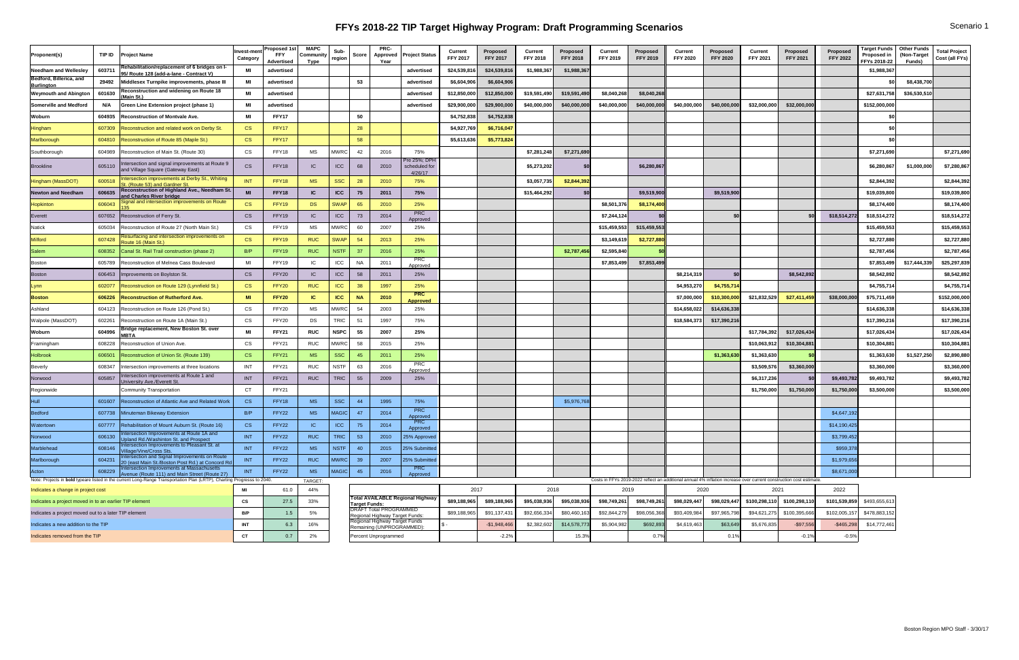# **FFYs 2018-22 TIP Target Highway Program: Draft Programming Scenarios** Scenario 1 Scenario 1

| Proponent(s)                                           | TIP ID | <b>Project Name</b>                                                                                                     | Invest-men<br>Category   | <b>Proposed 1st</b><br><b>Advertised</b> | <b>MAPC</b><br><b>Oommunity</b> region <sup> </sup><br><b>Type</b> | Sub-        | Score     | <b>PRC-</b><br><b>Approved</b><br>Year                          | <b>Project Status</b>                    | <b>Current</b><br><b>FFY 2017</b> | <b>Proposed</b><br><b>FFY 2017</b> | <b>Current</b><br><b>FFY 2018</b> | <b>Proposed</b><br><b>FFY 2018</b> | <b>Current</b><br><b>FFY 2019</b> | Proposed<br><b>FFY 2019</b> | <b>Current</b><br><b>FFY 2020</b>                                                                                   | <b>Proposed</b><br><b>FFY 2020</b> | <b>Current</b><br><b>FFY 2021</b>           | <b>Proposed</b><br><b>FFY 2021</b> | <b>Proposed</b><br><b>FFY 2022</b> | Target Funds   Other Funds<br>Proposed in   (Non-Target<br>FFYs 2018-22丨 | <b>Funds)</b> | <b>Total Project</b><br>Cost (all FYs) |
|--------------------------------------------------------|--------|-------------------------------------------------------------------------------------------------------------------------|--------------------------|------------------------------------------|--------------------------------------------------------------------|-------------|-----------|-----------------------------------------------------------------|------------------------------------------|-----------------------------------|------------------------------------|-----------------------------------|------------------------------------|-----------------------------------|-----------------------------|---------------------------------------------------------------------------------------------------------------------|------------------------------------|---------------------------------------------|------------------------------------|------------------------------------|--------------------------------------------------------------------------|---------------|----------------------------------------|
| <b>Needham and Wellesley</b>                           | 603711 | Rehabilitation/replacement of 6 bridges on I-<br>95/ Route 128 (add-a-lane - Contract V)                                | MI                       | advertised                               |                                                                    |             |           |                                                                 | advertised                               | \$24,539,816                      | \$24,539,816                       | \$1,988,367                       | \$1,988,367                        |                                   |                             |                                                                                                                     |                                    |                                             |                                    |                                    | \$1,988,367                                                              |               |                                        |
| <b>Bedford, Billerica, and</b><br><u>Burlington</u>    | 29492  | Middlesex Turnpike improvements, phase I                                                                                | MI                       | advertised                               |                                                                    |             | 53        |                                                                 | advertised                               | \$6,604,906                       | \$6,604,906                        |                                   |                                    |                                   |                             |                                                                                                                     |                                    |                                             |                                    |                                    |                                                                          | \$8,438,700   |                                        |
| <b>Weymouth and Abington</b>                           | 601630 | <b>Reconstruction and widening on Route 18</b><br>(Main St.)                                                            | <b>MI</b>                | advertised                               |                                                                    |             |           |                                                                 | advertised                               | \$12,850,000                      | \$12,850,000                       | \$19,591,490                      | \$19,591,490                       | \$8,040,268                       | \$8,040,268                 |                                                                                                                     |                                    |                                             |                                    |                                    | \$27,631,758                                                             | \$36,530,510  |                                        |
| <b>Somerville and Medford</b>                          |        | <b>Green Line Extension project (phase 1)</b>                                                                           | MI                       | advertised                               |                                                                    |             |           |                                                                 | advertised                               | \$29,900,000                      | \$29,900,000                       | \$40,000,000                      | \$40,000,000                       | \$40,000,000                      | \$40,000,000                | \$40,000,000                                                                                                        | \$40,000,000                       | \$32,000,000                                | \$32,000,000                       |                                    | \$152,000,000                                                            |               |                                        |
| Woburn                                                 | 604935 | <b>Reconstruction of Montvale Ave.</b>                                                                                  | MI                       | FFY17                                    |                                                                    |             | 50        |                                                                 |                                          | \$4,752,838                       | \$4,752,838                        |                                   |                                    |                                   |                             |                                                                                                                     |                                    |                                             |                                    |                                    |                                                                          |               |                                        |
| Hingham                                                | 607309 | <b>Reconstruction and related work on Derby St.</b>                                                                     | CS                       | FFY17                                    |                                                                    |             | 28        |                                                                 |                                          | \$4,927,769                       | \$6,716,047                        |                                   |                                    |                                   |                             |                                                                                                                     |                                    |                                             |                                    |                                    |                                                                          |               |                                        |
| Marlborough                                            |        | 604810 Reconstruction of Route 85 (Maple St.)                                                                           | CS                       | FFY17                                    |                                                                    |             | 58        |                                                                 |                                          | \$5,613,636                       | \$5,773,824                        |                                   |                                    |                                   |                             |                                                                                                                     |                                    |                                             |                                    |                                    |                                                                          |               |                                        |
| Southborough                                           | 604989 | Reconstruction of Main St. (Route 30)                                                                                   | CS                       | FFY18                                    | MS                                                                 | <b>MWRC</b> | 42        | 2016                                                            | 75%                                      |                                   |                                    | \$7,281,248                       | \$7,271,690                        |                                   |                             |                                                                                                                     |                                    |                                             |                                    |                                    | \$7,271,690                                                              |               | \$7,271,690                            |
| Brookline                                              | 605110 | Intersection and signal improvements at Route 9<br>and Village Square (Gateway East)                                    | <b>CS</b>                | FFY18                                    | IC                                                                 | ICC         | 68        | 2010                                                            | Pre 25%; DPH<br>scheduled for<br>4/26/17 |                                   |                                    | \$5,273,202                       |                                    |                                   | \$6,280,867                 |                                                                                                                     |                                    |                                             |                                    |                                    | \$6,280,867                                                              | \$1,000,000   | \$7,280,867                            |
| Hingham (MassDOT)                                      | 600518 | ntersection improvements at Derby St., Whiting<br>t. (Route 53) and Gardner St.                                         | <b>INT</b>               | FFY18                                    | <b>MS</b>                                                          | <b>SSC</b>  | 28        | 2010                                                            | 75%                                      |                                   |                                    | \$3,057,735                       | \$2,844,392                        |                                   |                             |                                                                                                                     |                                    |                                             |                                    |                                    | \$2,844,392                                                              |               | \$2,844,392                            |
| <b>Newton and Needham</b>                              | 606635 | Reconstruction of Highland Ave., Needham St.<br>and Charles River bridge                                                | <b>MI</b>                | FFY18                                    | IC                                                                 | <b>ICC</b>  | 75        | 2011                                                            | 75%                                      |                                   |                                    | \$15,464,292                      |                                    |                                   | \$9,519,900                 |                                                                                                                     | \$9,519,900                        |                                             |                                    |                                    | \$19,039,800                                                             |               | \$19,039,800                           |
| Hopkinton                                              | 606043 | Signal and intersection improvements on Route                                                                           | CS                       | FFY19                                    | <b>DS</b>                                                          | <b>SWAP</b> | 65        | 2010                                                            | 25%                                      |                                   |                                    |                                   |                                    | \$8,501,376                       | \$8,174,400                 |                                                                                                                     |                                    |                                             |                                    |                                    | \$8,174,400                                                              |               | \$8,174,400                            |
| Everett                                                | 607652 | Reconstruction of Ferry St.                                                                                             | <b>CS</b>                | FFY19                                    | IC                                                                 | ICC         | 73        | 2014                                                            | <b>PRC</b><br>Approved                   |                                   |                                    |                                   |                                    | \$7,244,124                       |                             |                                                                                                                     |                                    |                                             |                                    | \$18,514,272                       | \$18,514,272                                                             |               | \$18,514,272                           |
| Natick                                                 | 605034 | Reconstruction of Route 27 (North Main St.)                                                                             | CS                       | FFY19                                    | <b>MS</b>                                                          | <b>MWR</b>  | 60        | 2007                                                            | 25%                                      |                                   |                                    |                                   |                                    | \$15,459,553                      | \$15,459,553                |                                                                                                                     |                                    |                                             |                                    |                                    | \$15,459,553                                                             |               | \$15,459,553                           |
| <b>Milford</b>                                         | 607428 | Resurfacing and intersection improvements on<br>Route 16 (Main St.)                                                     | <b>CS</b>                | FFY19                                    | <b>RUC</b>                                                         | <b>SWAP</b> | 54        | 2013                                                            | 25%                                      |                                   |                                    |                                   |                                    | \$3,149,619                       | \$2,727,880                 |                                                                                                                     |                                    |                                             |                                    |                                    | \$2,727,880                                                              |               | \$2,727,880                            |
| Salem                                                  |        | 608352 Canal St. Rail Trail construction (phase 2)                                                                      | B/P                      | FFY19                                    | <b>RUC</b>                                                         | <b>NSTF</b> | -37       | 2016                                                            | 25%                                      |                                   |                                    |                                   | \$2,787,456                        | \$2,595,840                       |                             |                                                                                                                     |                                    |                                             |                                    |                                    | \$2,787,456                                                              |               | \$2,787,456                            |
| Boston                                                 |        | 605789   Reconstruction of Melnea Cass Boulevard                                                                        | MI                       | FFY19                                    | IC                                                                 | ICC         | <b>NA</b> | 2011                                                            | <b>PRC</b><br>Approved                   |                                   |                                    |                                   |                                    | \$7,853,499                       | \$7,853,499                 |                                                                                                                     |                                    |                                             |                                    |                                    | \$7,853,499                                                              | \$17,444,339  | \$25,297,839                           |
| Boston                                                 |        | 606453   Improvements on Boylston St.                                                                                   | <b>CS</b>                | FFY20                                    | IC                                                                 | ICC         | 58        | 2011                                                            | 25%                                      |                                   |                                    |                                   |                                    |                                   |                             | \$8,214,319                                                                                                         |                                    |                                             | \$8,542,892                        |                                    | \$8,542,892                                                              |               | \$8,542,892                            |
| Lynn                                                   |        | 602077 Reconstruction on Route 129 (Lynnfield St.)                                                                      | CS                       | FFY20                                    | <b>RUC</b>                                                         | <b>ICC</b>  | 38        | 1997                                                            | 25%                                      |                                   |                                    |                                   |                                    |                                   |                             | \$4,953,270                                                                                                         | \$4,755,714                        |                                             |                                    |                                    | \$4,755,714                                                              |               | \$4,755,714                            |
| <b>Boston</b>                                          |        | 606226 Reconstruction of Rutherford Ave.                                                                                | <b>MI</b>                | <b>FFY20</b>                             | $\sqrt{C}$                                                         | <b>ICC</b>  | <b>NA</b> | 2010                                                            | <b>PRC</b><br><b>Approved</b>            |                                   |                                    |                                   |                                    |                                   |                             | \$7,000,000                                                                                                         | \$10,300,000                       | \$21,832,529                                | \$27,411,459                       | \$38,000,000                       | \$75,711,459                                                             |               | \$152,000,000                          |
| Ashland                                                |        | 604123 Reconstruction on Route 126 (Pond St.)                                                                           | CS                       | FFY20                                    | MS                                                                 | <b>MWRC</b> | 54        | 2003                                                            | 25%                                      |                                   |                                    |                                   |                                    |                                   |                             | \$14,658,022                                                                                                        | \$14,636,338                       |                                             |                                    |                                    | \$14,636,338                                                             |               | \$14,636,338                           |
| Walpole (MassDOT)                                      | 602261 | Reconstruction on Route 1A (Main St.)                                                                                   | CS                       | FFY20                                    | <b>DS</b>                                                          | <b>TRIC</b> | 51        | 1997                                                            | 75%                                      |                                   |                                    |                                   |                                    |                                   |                             | \$18,584,373                                                                                                        | \$17,390,216                       |                                             |                                    |                                    | \$17,390,216                                                             |               | \$17,390,216                           |
| Woburn                                                 | 604996 | <b>Bridge replacement, New Boston St. over</b>                                                                          | <b>MI</b>                | <b>FFY21</b>                             | <b>RUC</b>                                                         | <b>NSPC</b> | 55        | 2007                                                            | 25%                                      |                                   |                                    |                                   |                                    |                                   |                             |                                                                                                                     |                                    | \$17,784,392                                | \$17,026,434                       |                                    | \$17,026,434                                                             |               | \$17,026,434                           |
| Framingham                                             | 608228 | Reconstruction of Union Ave.                                                                                            | CS                       | FFY21                                    | RUC                                                                | <b>MWRC</b> | 58        | 2015                                                            | 25%                                      |                                   |                                    |                                   |                                    |                                   |                             |                                                                                                                     |                                    | \$10,063,912                                | \$10,304,881                       |                                    | \$10,304,881                                                             |               | \$10,304,881                           |
| <b>Holbrook</b>                                        |        | 606501 Reconstruction of Union St. (Route 139)                                                                          | CS                       | FFY21                                    | <b>MS</b>                                                          | <b>SSC</b>  |           | 2011                                                            | 25%                                      |                                   |                                    |                                   |                                    |                                   |                             |                                                                                                                     | \$1,363,630                        | \$1,363,630                                 |                                    |                                    | \$1,363,630                                                              | \$1,527,250   | \$2,890,880                            |
| Beverly                                                |        | 608347  Intersection improvements at three locations                                                                    | <b>INT</b>               | FFY21                                    | RUC                                                                | <b>NSTF</b> | 63        | 2016                                                            | <b>PRC</b><br>Approved                   |                                   |                                    |                                   |                                    |                                   |                             |                                                                                                                     |                                    | \$3,509,576                                 | \$3,360,000                        |                                    | \$3,360,000                                                              |               | \$3,360,000                            |
| Norwood                                                | 605857 | Intersection improvements at Route 1 and<br>University Ave./Everett St.                                                 | <b>INT</b>               | FFY21                                    | <b>RUC</b>                                                         | <b>TRIC</b> | 55        | 2009                                                            | 25%                                      |                                   |                                    |                                   |                                    |                                   |                             |                                                                                                                     |                                    | \$6,317,236                                 |                                    | \$9,493,782                        | \$9,493,782                                                              |               | \$9,493,782                            |
| Regionwide                                             |        | <b>Community Transportation</b>                                                                                         | CT                       | FFY21                                    |                                                                    |             |           |                                                                 |                                          |                                   |                                    |                                   |                                    |                                   |                             |                                                                                                                     |                                    | \$1,750,000                                 | \$1,750,000                        | \$1,750,000                        | \$3,500,000                                                              |               | \$3,500,000                            |
|                                                        |        | 601607 Reconstruction of Atlantic Ave and Related Work                                                                  | CS                       | FFY18                                    | <b>MS</b>                                                          | <b>SSC</b>  | -44       | 1995                                                            | 75%                                      |                                   |                                    |                                   | \$5,976,768                        |                                   |                             |                                                                                                                     |                                    |                                             |                                    |                                    |                                                                          |               |                                        |
| <b>Bedford</b>                                         |        | 607738 Minuteman Bikeway Extension                                                                                      | B/P                      | FFY22                                    | <b>MS</b>                                                          | MAGIC       | 47        | 2014                                                            | <b>PRC</b><br>Approved                   |                                   |                                    |                                   |                                    |                                   |                             |                                                                                                                     |                                    |                                             |                                    | \$4,647,192                        |                                                                          |               |                                        |
| Watertown                                              |        | 607777   Rehabilitation of Mount Auburn St. (Route 16)                                                                  | CS                       | FFY22                                    | IC                                                                 | ICC         | 75        | 2014                                                            | PRC<br>Approved                          |                                   |                                    |                                   |                                    |                                   |                             |                                                                                                                     |                                    |                                             |                                    | \$14,190,425                       |                                                                          |               |                                        |
| Norwood                                                | 606130 | ntersection Improvements at Route 1A and<br>Jpland Rd./Washinton St. and Prospect                                       | <b>INT</b>               | FFY22                                    | <b>RUC</b>                                                         | <b>TRIC</b> | 53        | 2010                                                            | 25% Approved                             |                                   |                                    |                                   |                                    |                                   |                             |                                                                                                                     |                                    |                                             |                                    | \$3,799,452                        |                                                                          |               |                                        |
| Marblehead                                             | 608146 | Intersection Improvements to Pleasant St. at<br>Village/Vine/Cross Sts.                                                 | <b>INT</b>               | FFY22                                    | <b>MS</b>                                                          | NSTF        | 40        | 2015                                                            | 25% Submitted                            |                                   |                                    |                                   |                                    |                                   |                             |                                                                                                                     |                                    |                                             |                                    | \$959,378                          |                                                                          |               |                                        |
| Marlborough                                            | 604231 | ntersection and Signal Improvements on Route<br>20 (east Main St./Boston Post Rd.) at Concord Rd                        | <b>INT</b>               | FFY22                                    | <b>RUC</b>                                                         | MWRC        | 39        | 2007                                                            | 25% Submitted                            |                                   |                                    |                                   |                                    |                                   |                             |                                                                                                                     |                                    |                                             |                                    | \$1,979,656                        |                                                                          |               |                                        |
| Acton                                                  | 608229 | <b>Intersection Improvements at Massachusetts</b><br>Avenue (Route 111) and Main Street (Route 27)                      | <b>INT</b>               | FFY22                                    | <b>MS</b>                                                          | MAGIC       | 45        | 2016                                                            | <b>PRC</b><br>Approved                   |                                   |                                    |                                   |                                    |                                   |                             |                                                                                                                     |                                    |                                             |                                    | \$8,671,000                        |                                                                          |               |                                        |
|                                                        |        | Note: Projects in bold typeare listed in the current Long-Range Transportation Plan (LRTP), Charting Progresss to 2040. |                          |                                          | TARGET                                                             |             |           |                                                                 |                                          |                                   |                                    |                                   |                                    |                                   |                             | Costs in FFYs 2019-2022 reflect an additional annual 4% inflation increase over current construction cost estimate. |                                    |                                             |                                    |                                    |                                                                          |               |                                        |
| Indicates a change in project cost                     |        |                                                                                                                         | MI                       | 61.0                                     | 44%                                                                |             |           |                                                                 | <b>Total AVAILABLE Regional Highway</b>  | 2017                              |                                    | 2018                              |                                    | 2019                              |                             | 2020                                                                                                                |                                    | 2021                                        |                                    | 2022                               |                                                                          |               |                                        |
| Indicates a project moved in to an earlier TIP element |        |                                                                                                                         | $\mathsf{CS}\phantom{0}$ | 27.5                                     | 33%                                                                |             |           | Target Funds:<br>DRAFT Total PROGRAMMED                         |                                          | \$89,188,965                      | \$89,188,965                       | \$95,038,936                      | \$95,038,936                       | \$98,749,261                      | \$98,749,26                 | \$98,029,447                                                                                                        |                                    | $$98,029,447$ $$100,298,110$ $$100,298,110$ |                                    | \$101,539,859                      | \$493,655,613                                                            |               |                                        |
| Indicates a project moved out to a later TIP element   |        |                                                                                                                         | B/P                      | 1.5                                      | 5%                                                                 |             |           | Regional Highway Target Funds:<br>Regional Highway Target Funds |                                          | \$89,188,965                      | \$91,137,431                       | \$92,656,334                      | \$80,460,163                       | \$92,844,279                      | \$98,056,368                | \$93,409,984                                                                                                        | \$97,965,798                       |                                             | $$94,621,275$ $$100,395,666$       | \$102,005,157                      | \$478,883,152                                                            |               |                                        |
| Indicates a new addition to the TIP                    |        |                                                                                                                         | <b>INT</b>               | 6.3                                      | 16%                                                                |             |           | Remaining (UNPROGRAMMED):                                       |                                          |                                   | $-$1,948,466$                      | \$2,382,602                       | \$14,578,773                       | \$5,904,982                       | \$692,893                   | \$4,619,463                                                                                                         | \$63,649                           | \$5,676,835                                 | $-$97,556$                         | $-$ \$465,298                      | \$14,772,461                                                             |               |                                        |
| Indicates removed from the TIP                         |        |                                                                                                                         | CT                       | 0.7                                      | 2%                                                                 |             |           | Percent Unprogrammed                                            |                                          |                                   | $-2.2%$                            |                                   | 15.3%                              |                                   | $0.7\%$                     |                                                                                                                     | 0.1%                               |                                             | $-0.1%$                            | $-0.5%$                            |                                                                          |               |                                        |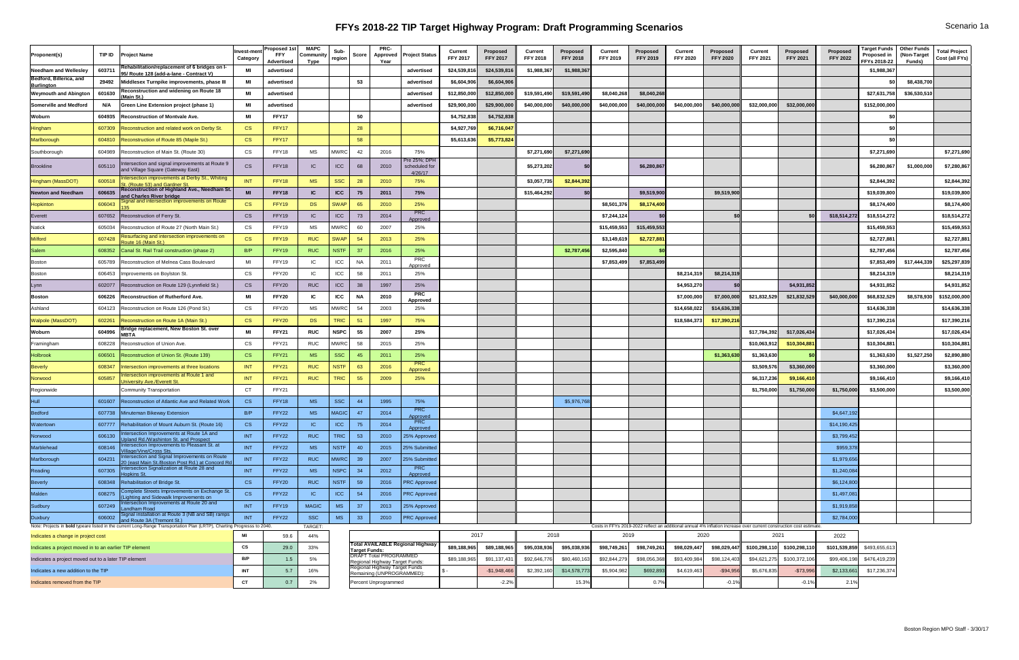# **FFYs 2018-22 TIP Target Highway Program: Draft Programming Scenarios** Scenario 1a

| Proponent(s)                                                                                                            | TIP ID | <b>Project Name</b>                                                                               | Invest-men<br>Category   | <b>Proposed 1st</b> )<br><b>FFY</b><br><b>Advertised</b> | <b>MAPC</b><br>Community<br><b>Type</b> | Sub-<br>region | <b>Score</b> | <b>PRC-</b><br><b>Approved</b><br>Year                          | <b>Project Status</b>                    | <b>Current</b><br><b>FFY 2017</b> | <b>Proposed</b><br><b>FFY 2017</b> | <b>Current</b><br><b>FFY 2018</b> | <b>Proposed</b><br><b>FFY 2018</b> | <b>Current</b><br><b>FFY 2019</b> | Proposed<br><b>FFY 2019</b>                                                                                        | <b>Current</b><br><b>FFY 2020</b> | <b>Proposed</b><br><b>FFY 2020</b> | <b>Current</b><br><b>FFY 2021</b> | <b>Proposed</b><br><b>FFY 2021</b> | <b>Proposed</b><br><b>FFY 2022</b> | Target Funds   Other Funds<br>Proposed in<br>FFYs 2018-22 | (Non-Target<br><b>Funds)</b> | <b>Total Project</b><br>  Cost (all FYs) |
|-------------------------------------------------------------------------------------------------------------------------|--------|---------------------------------------------------------------------------------------------------|--------------------------|----------------------------------------------------------|-----------------------------------------|----------------|--------------|-----------------------------------------------------------------|------------------------------------------|-----------------------------------|------------------------------------|-----------------------------------|------------------------------------|-----------------------------------|--------------------------------------------------------------------------------------------------------------------|-----------------------------------|------------------------------------|-----------------------------------|------------------------------------|------------------------------------|-----------------------------------------------------------|------------------------------|------------------------------------------|
| Needham and Wellesley                                                                                                   | 603711 | Rehabilitation/replacement of 6 bridges on I-<br>95/ Route 128 (add-a-lane - Contract V)          | MI                       | advertised                                               |                                         |                |              |                                                                 | advertised                               | \$24,539,816                      | \$24,539,816                       | \$1,988,367                       | \$1,988,367                        |                                   |                                                                                                                    |                                   |                                    |                                   |                                    |                                    | \$1,988,367                                               |                              |                                          |
| Bedford, Billerica, and<br><b>Burlington</b>                                                                            | 29492  | Middlesex Turnpike improvements, phase II                                                         | MI                       | advertised                                               |                                         |                | -53          |                                                                 | advertised                               | \$6,604,906                       | \$6,604,906                        |                                   |                                    |                                   |                                                                                                                    |                                   |                                    |                                   |                                    |                                    |                                                           | \$8,438,700                  |                                          |
| <b>Weymouth and Abington</b>                                                                                            | 601630 | Reconstruction and widening on Route 18<br>Main St.)                                              | MI                       | advertised                                               |                                         |                |              |                                                                 | advertised                               | \$12,850,000                      | \$12,850,000                       | \$19,591,490                      | \$19,591,490                       | \$8,040,268                       | \$8,040,268                                                                                                        |                                   |                                    |                                   |                                    |                                    | \$27,631,758                                              | \$36,530,510                 |                                          |
| <b>Somerville and Medford</b>                                                                                           | N/A    | <b>Green Line Extension project (phase 1)</b>                                                     | MI                       | advertised                                               |                                         |                |              |                                                                 | advertised                               | \$29,900,000                      | \$29,900,000                       | \$40,000,000                      | \$40,000,00                        | \$40,000,000                      | \$40,000,000                                                                                                       | \$40,000,000                      | \$40,000,000                       | \$32,000,000                      | \$32,000,000                       |                                    | \$152,000,000                                             |                              |                                          |
| Woburn                                                                                                                  | 604935 | <b>Reconstruction of Montvale Ave.</b>                                                            | MI                       | FFY17                                                    |                                         |                | -50          |                                                                 |                                          | \$4,752,838                       | \$4,752,838                        |                                   |                                    |                                   |                                                                                                                    |                                   |                                    |                                   |                                    |                                    |                                                           |                              |                                          |
| Hingham                                                                                                                 |        | 607309 Reconstruction and related work on Derby St.                                               | <b>CS</b>                | FFY17                                                    |                                         |                |              |                                                                 |                                          | \$4,927,769                       | \$6,716,047                        |                                   |                                    |                                   |                                                                                                                    |                                   |                                    |                                   |                                    |                                    |                                                           |                              |                                          |
| Marlborough                                                                                                             |        | 604810 Reconstruction of Route 85 (Maple St.)                                                     | <b>CS</b>                | FFY17                                                    |                                         |                | 58           |                                                                 |                                          | \$5,613,636                       | \$5,773,824                        |                                   |                                    |                                   |                                                                                                                    |                                   |                                    |                                   |                                    |                                    |                                                           |                              |                                          |
| Southborough                                                                                                            |        | 604989 Reconstruction of Main St. (Route 30)                                                      | <b>CS</b>                | FFY18                                                    | MS                                      | <b>MWRC</b>    |              | 2016                                                            | 75%                                      |                                   |                                    | \$7,271,690                       | \$7,271,690                        |                                   |                                                                                                                    |                                   |                                    |                                   |                                    |                                    | \$7,271,690                                               |                              | \$7,271,690                              |
| Brookline                                                                                                               | 605110 | Intersection and signal improvements at Route 9<br>and Village Square (Gateway East)              | CS                       | FFY18                                                    | IC                                      | ICC            | 68           | 2010                                                            | Pre 25%; DPH<br>scheduled for<br>4/26/17 |                                   |                                    | \$5,273,202                       |                                    |                                   | \$6,280,86                                                                                                         |                                   |                                    |                                   |                                    |                                    | \$6,280,867                                               | \$1,000,000                  | \$7,280,867                              |
| Hingham (MassDOT)                                                                                                       | 600518 | Intersection improvements at Derby St., Whiting<br>St. (Route 53) and Gardner St.                 | INT                      | FFY18                                                    | <b>MS</b>                               | <b>SSC</b>     |              | 2010                                                            | 75%                                      |                                   |                                    | \$3,057,735                       | \$2,844,392                        |                                   |                                                                                                                    |                                   |                                    |                                   |                                    |                                    | \$2,844,392                                               |                              | \$2,844,392                              |
| <b>Newton and Needham</b>                                                                                               | 606635 | <b>Reconstruction of Highland Ave., Needham St.</b><br>and Charles River bridge                   | <b>MI</b>                | <b>FFY18</b>                                             | IC                                      | <b>ICC</b>     | 75           | 2011                                                            | 75%                                      |                                   |                                    | \$15,464,292                      |                                    |                                   | \$9,519,900                                                                                                        |                                   | \$9,519,900                        |                                   |                                    |                                    | \$19,039,800                                              |                              | \$19,039,800                             |
| <b>Hopkinton</b>                                                                                                        | 606043 | Signal and intersection improvements on Route                                                     | <b>CS</b>                | FFY19                                                    | DS                                      | <b>SWAF</b>    | -65          | 2010                                                            | 25%                                      |                                   |                                    |                                   |                                    | \$8,501,376                       | \$8,174,400                                                                                                        |                                   |                                    |                                   |                                    |                                    | \$8,174,400                                               |                              | \$8,174,400                              |
| Everett                                                                                                                 |        | 607652 Reconstruction of Ferry St.                                                                | <b>CS</b>                | FFY19                                                    | IC                                      | ICC            | 73           | 2014                                                            | <b>PRC</b><br>Approved                   |                                   |                                    |                                   |                                    | \$7,244,124                       |                                                                                                                    |                                   |                                    |                                   |                                    | \$18,514,272                       | \$18,514,272                                              |                              | \$18,514,272                             |
| Natick                                                                                                                  | 605034 | Reconstruction of Route 27 (North Main St.)                                                       | CS                       | FFY19                                                    | MS                                      | <b>MWRC</b>    | -60          | 2007                                                            | 25%                                      |                                   |                                    |                                   |                                    | \$15,459,553                      | \$15,459,553                                                                                                       |                                   |                                    |                                   |                                    |                                    | \$15,459,553                                              |                              | \$15,459,553                             |
| <b>Milford</b>                                                                                                          | 607428 | Resurfacing and intersection improvements on<br>Route 16 (Main St.)                               | <b>CS</b>                | FFY19                                                    | <b>RUC</b>                              | <b>SWAF</b>    | -54          | 2013                                                            | 25%                                      |                                   |                                    |                                   |                                    | \$3,149,619                       | \$2,727,88                                                                                                         |                                   |                                    |                                   |                                    |                                    | \$2,727,881                                               |                              | \$2,727,881                              |
| <b>Salem</b>                                                                                                            |        | 608352 Canal St. Rail Trail construction (phase 2)                                                | B/P                      | FFY19                                                    | <b>RUC</b>                              | <b>NSTF</b>    | 27           | 2016                                                            | 25%                                      |                                   |                                    |                                   | \$2,787,456                        | \$2,595,840                       |                                                                                                                    |                                   |                                    |                                   |                                    |                                    | \$2,787,456                                               |                              | \$2,787,456                              |
| Boston                                                                                                                  |        | 605789 Reconstruction of Melnea Cass Boulevard                                                    | MI                       | FFY19                                                    | IC                                      | ICC            | ΝA           | 2011                                                            | PRC<br>Approved                          |                                   |                                    |                                   |                                    | \$7,853,499                       | \$7,853,499                                                                                                        |                                   |                                    |                                   |                                    |                                    | \$7,853,499                                               | \$17,444,339                 | \$25,297,839                             |
| Boston                                                                                                                  |        | 606453   Improvements on Boylston St.                                                             | CS                       | FFY20                                                    | IC                                      | ICC            |              | 2011                                                            | 25%                                      |                                   |                                    |                                   |                                    |                                   |                                                                                                                    | \$8,214,319                       | \$8,214,319                        |                                   |                                    |                                    | \$8,214,319                                               |                              | \$8,214,319                              |
| .vnn                                                                                                                    |        | 602077   Reconstruction on Route 129 (Lynnfield St.)                                              | <b>CS</b>                | FFY20                                                    | <b>RUC</b>                              | ICC            |              | 1997                                                            | 25%                                      |                                   |                                    |                                   |                                    |                                   |                                                                                                                    | \$4,953,270                       |                                    |                                   | \$4,931,852                        |                                    | \$4,931,852                                               |                              | \$4,931,852                              |
| <b>Boston</b>                                                                                                           |        | 606226 Reconstruction of Rutherford Ave.                                                          | MI                       | <b>FFY20</b>                                             |                                         | <b>ICC</b>     | <b>NA</b>    | 2010                                                            | <b>PRC</b><br><b>Approved</b>            |                                   |                                    |                                   |                                    |                                   |                                                                                                                    | \$7,000,000                       | \$7,000,000                        | \$21,832,529                      | \$21,832,529                       | \$40,000,000                       | \$68,832,529                                              | \$8,578,930                  | \$152,000,000                            |
| Ashland                                                                                                                 |        | 604123 Reconstruction on Route 126 (Pond St.)                                                     | CS                       | FFY20                                                    | <b>MS</b>                               | <b>MWRC</b>    | -54          | 2003                                                            | 25%                                      |                                   |                                    |                                   |                                    |                                   |                                                                                                                    | \$14,658,022                      | \$14,636,338                       |                                   |                                    |                                    | \$14,636,338                                              |                              | \$14,636,338                             |
| <b>Walpole (MassDOT)</b>                                                                                                |        | 602261 Reconstruction on Route 1A (Main St.)                                                      | CS                       | FFY20                                                    | DS                                      | <b>TRIC</b>    | -51          | 1997                                                            | 75%                                      |                                   |                                    |                                   |                                    |                                   |                                                                                                                    | \$18,584,373                      | \$17,390,216                       |                                   |                                    |                                    | \$17,390,216                                              |                              | \$17,390,216                             |
| Woburn                                                                                                                  | 604996 | <b>Bridge replacement, New Boston St. over</b><br><b>MBTA</b>                                     | MI                       | <b>FFY21</b>                                             | <b>RUC</b>                              | <b>NSPC</b>    |              | 2007                                                            | 25%                                      |                                   |                                    |                                   |                                    |                                   |                                                                                                                    |                                   |                                    | \$17,784,392                      | \$17,026,434                       |                                    | \$17,026,434                                              |                              | \$17,026,434                             |
| Framingham                                                                                                              | 608228 | Reconstruction of Union Ave.                                                                      | CS                       | FFY21                                                    | <b>RUC</b>                              | <b>MWRC</b>    |              | 2015                                                            | 25%                                      |                                   |                                    |                                   |                                    |                                   |                                                                                                                    |                                   |                                    | \$10,063,912                      | \$10,304,881                       |                                    | \$10,304,881                                              |                              | \$10,304,881                             |
| <b>Holbrook</b>                                                                                                         |        | Reconstruction of Union St. (Route 139)                                                           | CS                       | FFY21                                                    | <b>MS</b>                               | <b>SSC</b>     |              | 2011                                                            | 25%                                      |                                   |                                    |                                   |                                    |                                   |                                                                                                                    |                                   | \$1,363,630                        | \$1,363,630                       |                                    |                                    | \$1,363,630                                               | \$1,527,250                  | \$2,890,880                              |
| <b>Beverly</b>                                                                                                          |        | 608347  Intersection improvements at three locations                                              | <b>INT</b>               | FFY21                                                    | <b>RUC</b>                              | <b>NSTF</b>    | 63           | 2016                                                            | <b>PRC</b><br>Approved                   |                                   |                                    |                                   |                                    |                                   |                                                                                                                    |                                   |                                    | \$3,509,576                       | \$3,360,000                        |                                    | \$3,360,000                                               |                              | \$3,360,000                              |
| Norwood                                                                                                                 | 605857 | ntersection improvements at Route 1 and<br>Jniversity Ave./Everett St.                            | <b>INT</b>               | FFY21                                                    | <b>RUC</b>                              | <b>TRIC</b>    | 55           | 2009                                                            | 25%                                      |                                   |                                    |                                   |                                    |                                   |                                                                                                                    |                                   |                                    | \$6,317,236                       | \$9,166,41                         |                                    | \$9,166,410                                               |                              | \$9,166,410                              |
| Regionwide                                                                                                              |        | Community Transportation                                                                          | <b>CT</b>                | FFY21                                                    |                                         |                |              |                                                                 |                                          |                                   |                                    |                                   |                                    |                                   |                                                                                                                    |                                   |                                    | \$1,750,000                       | \$1,750,000                        | \$1,750,000                        | \$3,500,000                                               |                              | \$3,500,000                              |
| Hull                                                                                                                    | 601607 | Reconstruction of Atlantic Ave and Related Work                                                   | <b>CS</b>                | FFY18                                                    | <b>MS</b>                               | <b>SSC</b>     |              | 1995                                                            | 75%                                      |                                   |                                    |                                   | \$5,976,76                         |                                   |                                                                                                                    |                                   |                                    |                                   |                                    |                                    |                                                           |                              |                                          |
| <b>Bedford</b>                                                                                                          |        | 607738 Minuteman Bikeway Extension                                                                | B/P                      | FFY22                                                    | <b>MS</b>                               | <b>MAGIO</b>   |              | 2014                                                            | <b>PRC</b><br>Approved                   |                                   |                                    |                                   |                                    |                                   |                                                                                                                    |                                   |                                    |                                   |                                    | \$4,647,192                        |                                                           |                              |                                          |
| Watertown                                                                                                               |        | 607777 Rehabilitation of Mount Auburn St. (Route 16)                                              | CS                       | FFY22                                                    | IC                                      | <b>ICC</b>     | -75          | 2014                                                            | <b>PRC</b><br>Approved                   |                                   |                                    |                                   |                                    |                                   |                                                                                                                    |                                   |                                    |                                   |                                    | \$14,190,425                       |                                                           |                              |                                          |
| Norwood                                                                                                                 | 606130 | itersection Improvements at Route 1A and<br><b>Jpland Rd./Washinton St. and Prospect</b>          | <b>INT</b>               | FFY22                                                    | <b>RUC</b>                              | <b>TRIC</b>    | -53          | 2010                                                            | 25% Approved                             |                                   |                                    |                                   |                                    |                                   |                                                                                                                    |                                   |                                    |                                   |                                    | \$3,799,452                        |                                                           |                              |                                          |
| Marblehead                                                                                                              | 608146 | Intersection Improvements to Pleasant St. at<br>Village/Vine/Cross Sts.                           | -INT                     | FFY22                                                    | MS                                      | <b>NSTF</b>    |              | 2015                                                            | 25% Submitted                            |                                   |                                    |                                   |                                    |                                   |                                                                                                                    |                                   |                                    |                                   |                                    | \$959,378                          |                                                           |                              |                                          |
| Marlborough                                                                                                             | 604231 | Intersection and Signal Improvements on Route<br>20 (east Main St./Boston Post Rd.) at Concord Rd | <b>INT</b>               | FFY22                                                    | <b>RUC</b>                              | <b>MWRC</b>    | 39           | 2007                                                            | 25% Submitted                            |                                   |                                    |                                   |                                    |                                   |                                                                                                                    |                                   |                                    |                                   |                                    | \$1,979,656                        |                                                           |                              |                                          |
| Reading                                                                                                                 | 607305 | Intersection Signalization at Route 28 and<br>Hopkins St.                                         | <b>INT</b>               | FFY22                                                    | <b>MS</b>                               | <b>NSPC</b>    | 34           | 2012                                                            | PRC<br>Approved                          |                                   |                                    |                                   |                                    |                                   |                                                                                                                    |                                   |                                    |                                   |                                    | \$1,240,084                        |                                                           |                              |                                          |
| <b>Beverly</b>                                                                                                          |        | 608348 Rehabilitation of Bridge St.                                                               | CS                       | FFY20                                                    | <b>RUC</b>                              | <b>NSTF</b>    | 59           | 2016                                                            | <b>PRC Approved</b>                      |                                   |                                    |                                   |                                    |                                   |                                                                                                                    |                                   |                                    |                                   |                                    | \$6,124,800                        |                                                           |                              |                                          |
| Malden                                                                                                                  |        | Complete Streets Improvements on Exchange St.<br>(Lighting and Sidewalk Improvements on           | <b>CS</b>                | FFY22                                                    | IC                                      | ICC            | -54          | 2016                                                            | <b>PRC</b> Approved                      |                                   |                                    |                                   |                                    |                                   |                                                                                                                    |                                   |                                    |                                   |                                    | \$1,497,081                        |                                                           |                              |                                          |
| Sudbury                                                                                                                 | 607249 | Intersection Improvements at Route 20 and<br>andham Road                                          | <b>INT</b>               | FFY19                                                    | <b>MAGIC</b>                            | <b>MS</b>      | 37           | 2013                                                            | 25% Approved                             |                                   |                                    |                                   |                                    |                                   |                                                                                                                    |                                   |                                    |                                   |                                    | \$1,919,858                        |                                                           |                              |                                          |
| Duxbury                                                                                                                 | 606002 | Signal installation at Route 3 (NB and SB) ramps<br>and Route 3A (Tremont St.)                    | <b>INT</b>               | FFY22                                                    | SSC                                     | <b>MS</b>      | 33           | 2010                                                            | <b>PRC Approved</b>                      |                                   |                                    |                                   |                                    |                                   |                                                                                                                    |                                   |                                    |                                   |                                    | \$2,784,000                        |                                                           |                              |                                          |
| Note: Projects in bold typeare listed in the current Long-Range Transportation Plan (LRTP), Charting Progresss to 2040. |        |                                                                                                   |                          | TARGET:                                                  |                                         |                |              |                                                                 |                                          |                                   |                                    |                                   |                                    |                                   | Costs in FFYs 2019-2022 reflect an additional annual 4% inflation increase over current construction cost estimate |                                   |                                    |                                   |                                    |                                    |                                                           |                              |                                          |
| Indicates a change in project cost                                                                                      |        |                                                                                                   | MI                       | 59.6                                                     | 44%                                     |                |              |                                                                 | <b>Total AVAILABLE Regional Highway</b>  | 2017                              |                                    | 2018                              |                                    | 2019                              |                                                                                                                    | 2020                              |                                    | 2021                              |                                    | 2022                               |                                                           |                              |                                          |
| Indicates a project moved in to an earlier TIP element                                                                  |        |                                                                                                   | $\mathsf{CS}\phantom{0}$ | 29.0                                                     | 33%                                     |                |              | Target Funds:<br>DRAFT Total PROGRAMMED                         |                                          | \$89,188,965                      | \$89,188,965                       | \$95,038,936                      | \$95,038,936                       | \$98,749,261                      | \$98,749,26                                                                                                        | \$98,029,447                      | \$98,029,447                       | $$100,298,110$ $$100,298,110$     |                                    | \$101,539,859                      | \$493,655,613                                             |                              |                                          |
| Indicates a project moved out to a later TIP element                                                                    |        |                                                                                                   | B/P                      | 1.5                                                      | 5%                                      |                |              | Regional Highway Target Funds:<br>Regional Highway Target Funds |                                          | \$89,188,965                      | \$91,137,431                       | \$92,646,776                      | \$80,460,163                       | \$92,844,279                      | \$98,056,368                                                                                                       | \$93,409,984                      | \$98,124,403                       | \$94,621,275                      | \$100,372,106                      | \$99,406,198                       | \$476,419,239                                             |                              |                                          |
| Indicates a new addition to the TIP                                                                                     |        |                                                                                                   | <b>INT</b>               | 5.7                                                      | 16%                                     |                |              | Remaining (UNPROGRAMMED):                                       |                                          |                                   | $-$1,948,466$                      | \$2,392,160                       | \$14,578,773                       | \$5,904,982                       | \$692,893                                                                                                          | \$4,619,463                       | $-$ \$94,956                       | \$5,676,835                       | $-$73,996$                         | \$2,133,661                        | \$17,236,374                                              |                              |                                          |
| Indicates removed from the TIP                                                                                          |        |                                                                                                   | <b>CT</b>                | 0.7                                                      | 2%                                      |                |              | <b>Percent Unprogrammed</b>                                     |                                          |                                   | $-2.2%$                            |                                   | 15.3%                              |                                   | $0.7\%$                                                                                                            |                                   | $-0.1%$                            |                                   | $-0.19$                            | 2.1%                               |                                                           |                              |                                          |